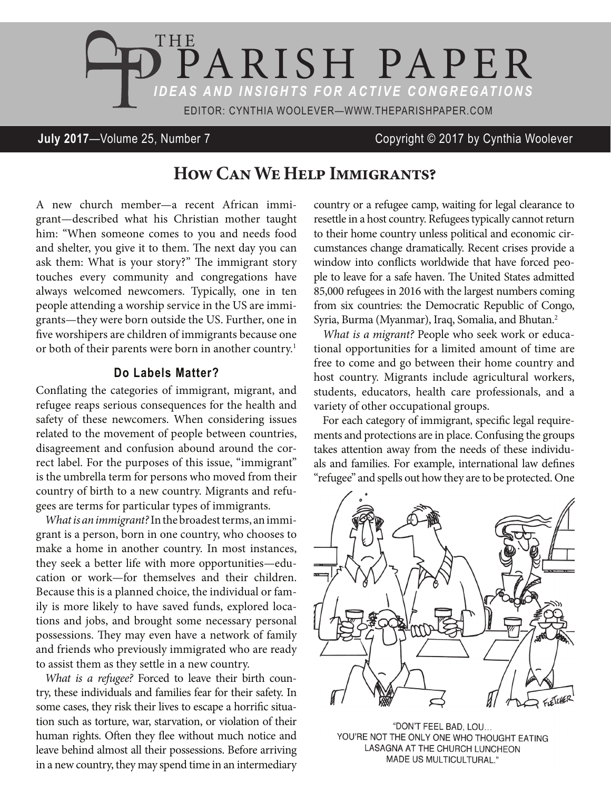

## **July 2017**—Volume 25, Number 7 Copyright © 2017 by Cynthia Woolever

# **How Can We Help Immigrants?**

A new church member—a recent African immigrant—described what his Christian mother taught him: "When someone comes to you and needs food and shelter, you give it to them. The next day you can ask them: What is your story?" The immigrant story touches every community and congregations have always welcomed newcomers. Typically, one in ten people attending a worship service in the US are immigrants—they were born outside the US. Further, one in five worshipers are children of immigrants because one or both of their parents were born in another country.<sup>1</sup>

### **Do Labels Matter?**

Conflating the categories of immigrant, migrant, and refugee reaps serious consequences for the health and safety of these newcomers. When considering issues related to the movement of people between countries, disagreement and confusion abound around the correct label. For the purposes of this issue, "immigrant" is the umbrella term for persons who moved from their country of birth to a new country. Migrants and refugees are terms for particular types of immigrants.

*What is an immigrant?* In the broadest terms, an immigrant is a person, born in one country, who chooses to make a home in another country. In most instances, they seek a better life with more opportunities—education or work—for themselves and their children. Because this is a planned choice, the individual or family is more likely to have saved funds, explored locations and jobs, and brought some necessary personal possessions. They may even have a network of family and friends who previously immigrated who are ready to assist them as they settle in a new country.

*What is a refugee?* Forced to leave their birth country, these individuals and families fear for their safety. In some cases, they risk their lives to escape a horrific situation such as torture, war, starvation, or violation of their human rights. Often they flee without much notice and leave behind almost all their possessions. Before arriving in a new country, they may spend time in an intermediary country or a refugee camp, waiting for legal clearance to resettle in a host country. Refugees typically cannot return to their home country unless political and economic circumstances change dramatically. Recent crises provide a window into conflicts worldwide that have forced people to leave for a safe haven. The United States admitted 85,000 refugees in 2016 with the largest numbers coming from six countries: the Democratic Republic of Congo, Syria, Burma (Myanmar), Iraq, Somalia, and Bhutan.2

*What is a migrant?* People who seek work or educational opportunities for a limited amount of time are free to come and go between their home country and host country. Migrants include agricultural workers, students, educators, health care professionals, and a variety of other occupational groups.

For each category of immigrant, specific legal requirements and protections are in place. Confusing the groups takes attention away from the needs of these individuals and families. For example, international law defines "refugee" and spells out how they are to be protected. One



"DON'T FEEL BAD, LOU... YOU'RE NOT THE ONLY ONE WHO THOUGHT EATING LASAGNA AT THE CHURCH LUNCHEON **MADE US MULTICULTURAL."**